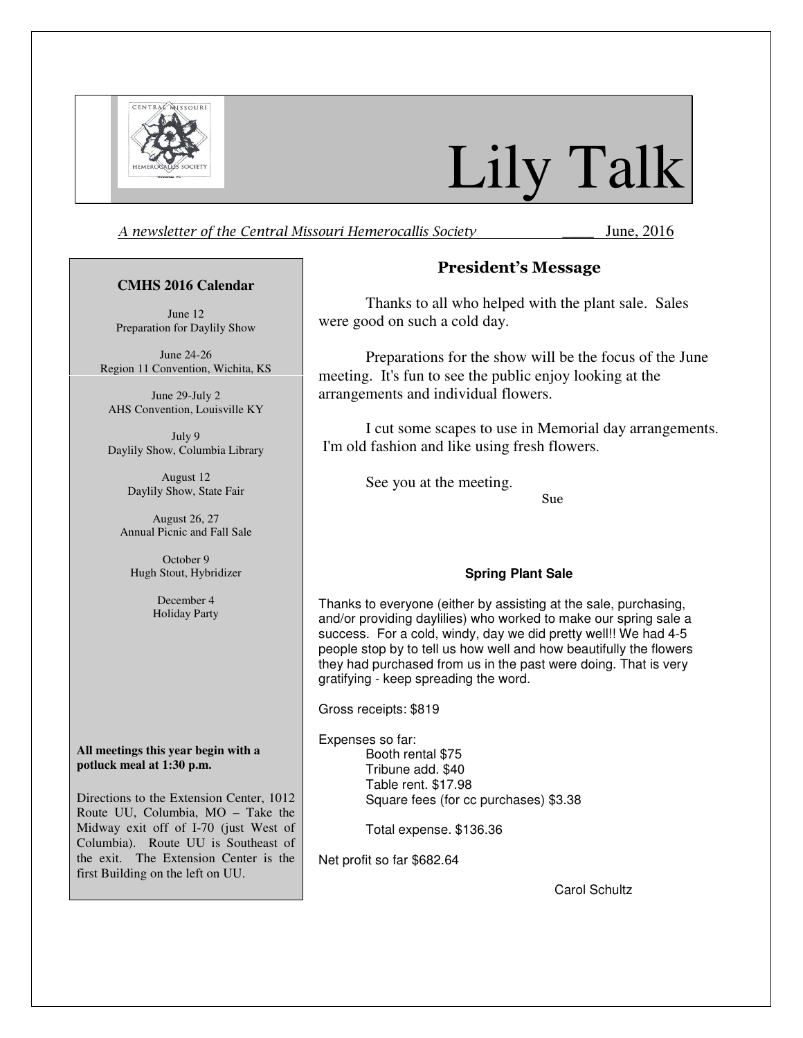

# Lily Talk

A newsletter of the Central Missouri Hemerocallis Society **June**, 2016

#### **CMHS 2016 Calendar**

June 12 Preparation for Daylily Show

June 24-26 Region 11 Convention, Wichita, KS

June 29-July 2 AHS Convention, Louisville KY

July 9 Daylily Show, Columbia Library

> August 12 Daylily Show, State Fair

August 26, 27 Annual Picnic and Fall Sale

October 9 Hugh Stout, Hybridizer

> December 4 Holiday Party

**All meetings this year begin with a potluck meal at 1:30 p.m.** 

Directions to the Extension Center, 1012 Route UU, Columbia, MO – Take the Midway exit off of I-70 (just West of Columbia). Route UU is Southeast of the exit. The Extension Center is the first Building on the left on UU.

## President's Message

Thanks to all who helped with the plant sale. Sales were good on such a cold day.

Preparations for the show will be the focus of the June meeting. It's fun to see the public enjoy looking at the arrangements and individual flowers.

I cut some scapes to use in Memorial day arrangements. I'm old fashion and like using fresh flowers.

See you at the meeting.

Sue

#### **Spring Plant Sale**

Thanks to everyone (either by assisting at the sale, purchasing, and/or providing daylilies) who worked to make our spring sale a success. For a cold, windy, day we did pretty well!! We had 4-5 people stop by to tell us how well and how beautifully the flowers they had purchased from us in the past were doing. That is very gratifying - keep spreading the word.

Gross receipts: \$819

Expenses so far: Booth rental \$75 Tribune add. \$40 Table rent. \$17.98 Square fees (for cc purchases) \$3.38

Total expense. \$136.36

Net profit so far \$682.64

Carol Schultz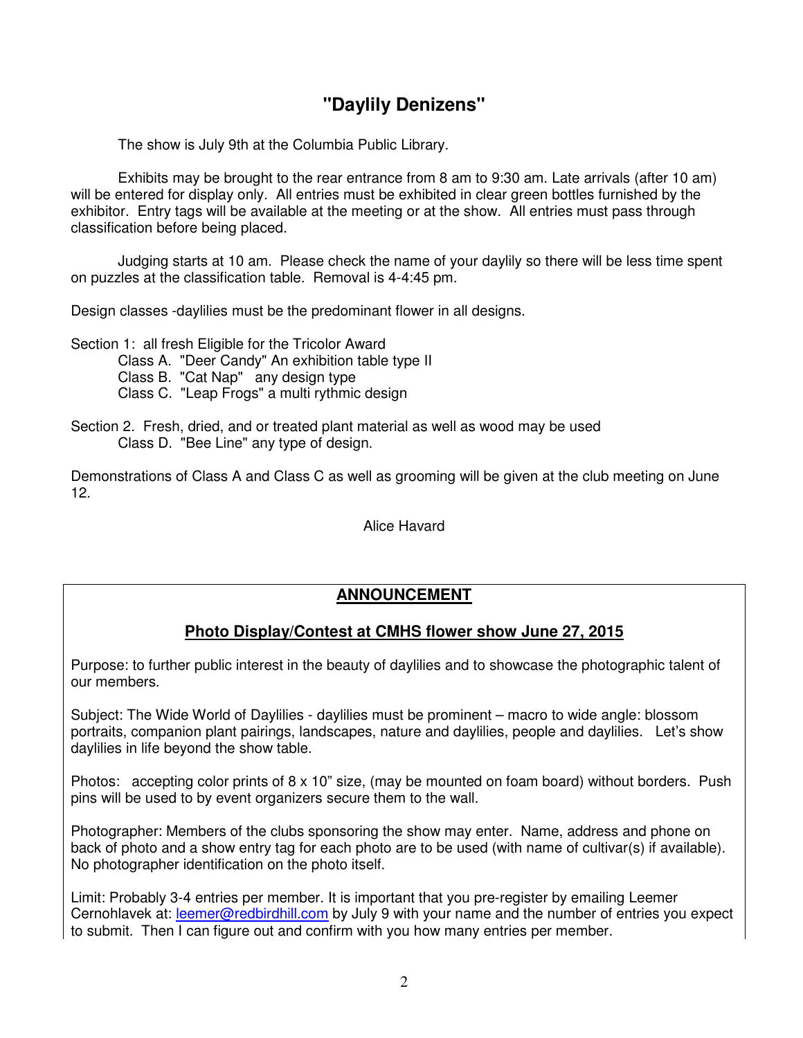## **"Daylily Denizens"**

The show is July 9th at the Columbia Public Library.

Exhibits may be brought to the rear entrance from 8 am to 9:30 am. Late arrivals (after 10 am) will be entered for display only. All entries must be exhibited in clear green bottles furnished by the exhibitor. Entry tags will be available at the meeting or at the show. All entries must pass through classification before being placed.

Judging starts at 10 am. Please check the name of your daylily so there will be less time spent on puzzles at the classification table. Removal is 4-4:45 pm.

Design classes -daylilies must be the predominant flower in all designs.

Section 1: all fresh Eligible for the Tricolor Award Class A. "Deer Candy" An exhibition table type II

- Class B. "Cat Nap" any design type
- Class C. "Leap Frogs" a multi rythmic design
- Section 2. Fresh, dried, and or treated plant material as well as wood may be used Class D. "Bee Line" any type of design.

Demonstrations of Class A and Class C as well as grooming will be given at the club meeting on June 12.

Alice Havard

## **ANNOUNCEMENT**

## **Photo Display/Contest at CMHS flower show June 27, 2015**

Purpose: to further public interest in the beauty of daylilies and to showcase the photographic talent of our members.

Subject: The Wide World of Daylilies - daylilies must be prominent – macro to wide angle: blossom portraits, companion plant pairings, landscapes, nature and daylilies, people and daylilies. Let's show daylilies in life beyond the show table.

Photos: accepting color prints of 8 x 10" size, (may be mounted on foam board) without borders. Push pins will be used to by event organizers secure them to the wall.

Photographer: Members of the clubs sponsoring the show may enter. Name, address and phone on back of photo and a show entry tag for each photo are to be used (with name of cultivar(s) if available). No photographer identification on the photo itself.

Limit: Probably 3-4 entries per member. It is important that you pre-register by emailing Leemer Cernohlavek at: leemer@redbirdhill.com by July 9 with your name and the number of entries you expect to submit. Then I can figure out and confirm with you how many entries per member.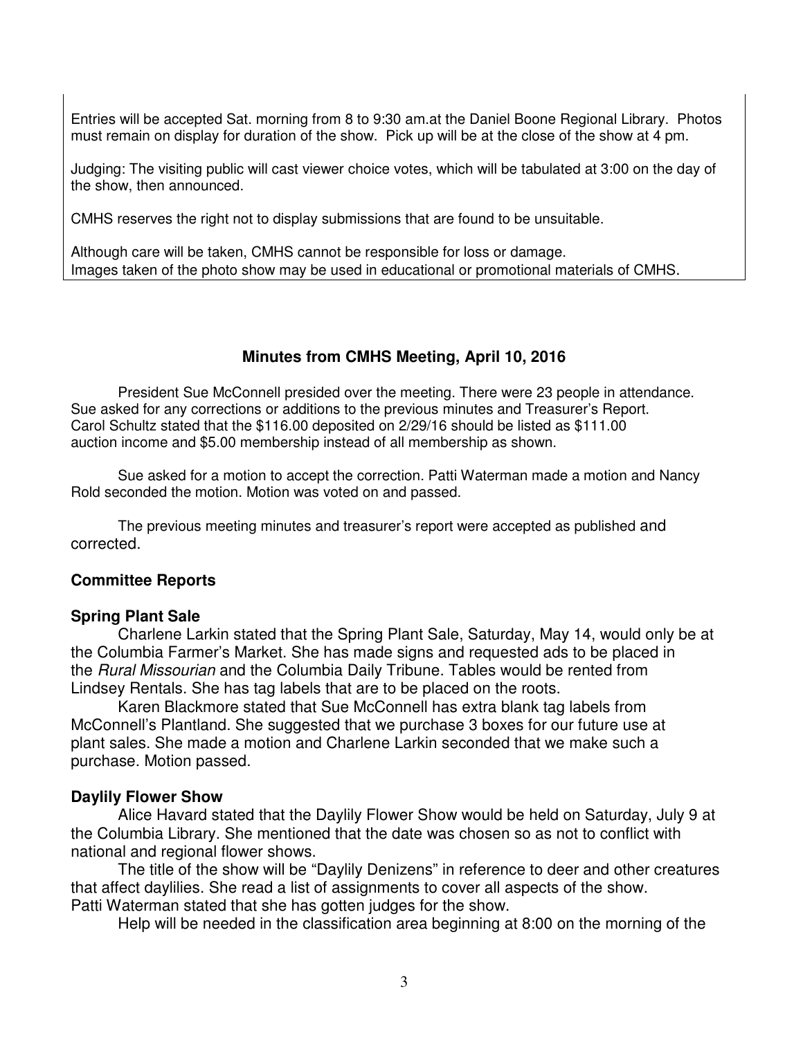Entries will be accepted Sat. morning from 8 to 9:30 am.at the Daniel Boone Regional Library. Photos must remain on display for duration of the show. Pick up will be at the close of the show at 4 pm.

Judging: The visiting public will cast viewer choice votes, which will be tabulated at 3:00 on the day of the show, then announced.

CMHS reserves the right not to display submissions that are found to be unsuitable.

Although care will be taken, CMHS cannot be responsible for loss or damage. Images taken of the photo show may be used in educational or promotional materials of CMHS.

## **Minutes from CMHS Meeting, April 10, 2016**

President Sue McConnell presided over the meeting. There were 23 people in attendance. Sue asked for any corrections or additions to the previous minutes and Treasurer's Report. Carol Schultz stated that the \$116.00 deposited on 2/29/16 should be listed as \$111.00 auction income and \$5.00 membership instead of all membership as shown.

Sue asked for a motion to accept the correction. Patti Waterman made a motion and Nancy Rold seconded the motion. Motion was voted on and passed.

The previous meeting minutes and treasurer's report were accepted as published and corrected.

## **Committee Reports**

#### **Spring Plant Sale**

Charlene Larkin stated that the Spring Plant Sale, Saturday, May 14, would only be at the Columbia Farmer's Market. She has made signs and requested ads to be placed in the Rural Missourian and the Columbia Daily Tribune. Tables would be rented from Lindsey Rentals. She has tag labels that are to be placed on the roots.

Karen Blackmore stated that Sue McConnell has extra blank tag labels from McConnell's Plantland. She suggested that we purchase 3 boxes for our future use at plant sales. She made a motion and Charlene Larkin seconded that we make such a purchase. Motion passed.

#### **Daylily Flower Show**

Alice Havard stated that the Daylily Flower Show would be held on Saturday, July 9 at the Columbia Library. She mentioned that the date was chosen so as not to conflict with national and regional flower shows.

The title of the show will be "Daylily Denizens" in reference to deer and other creatures that affect daylilies. She read a list of assignments to cover all aspects of the show. Patti Waterman stated that she has gotten judges for the show.

Help will be needed in the classification area beginning at 8:00 on the morning of the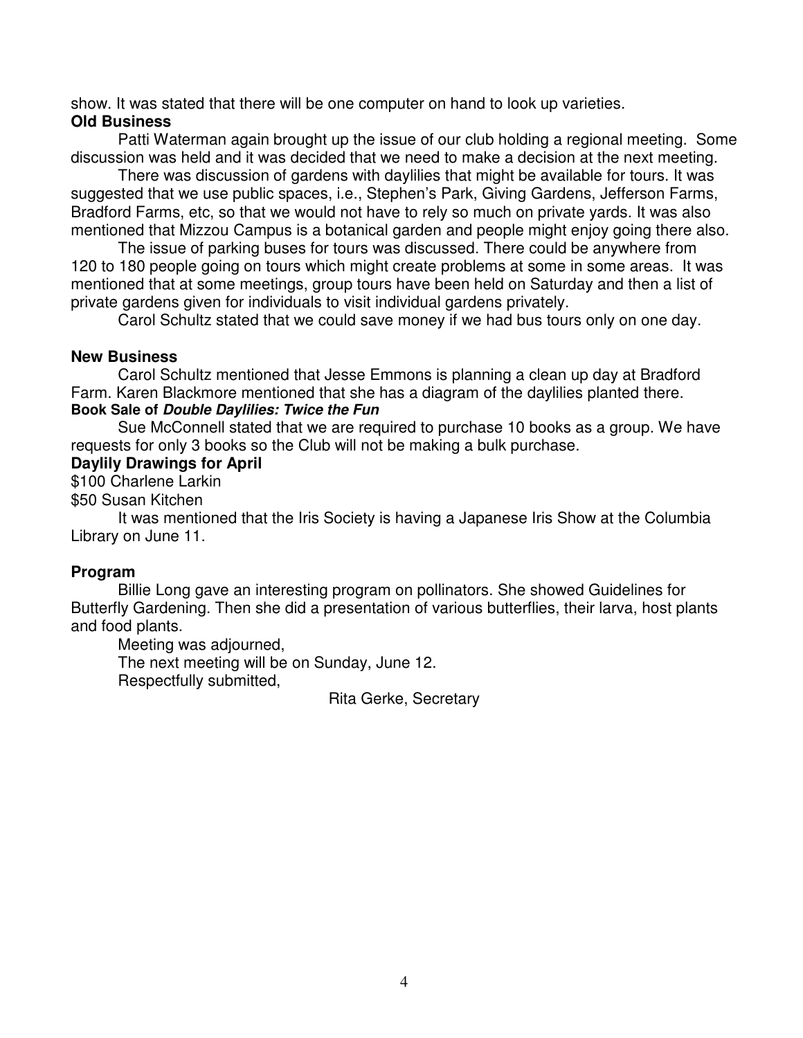show. It was stated that there will be one computer on hand to look up varieties. **Old Business** 

Patti Waterman again brought up the issue of our club holding a regional meeting. Some discussion was held and it was decided that we need to make a decision at the next meeting.

There was discussion of gardens with daylilies that might be available for tours. It was suggested that we use public spaces, i.e., Stephen's Park, Giving Gardens, Jefferson Farms, Bradford Farms, etc, so that we would not have to rely so much on private yards. It was also mentioned that Mizzou Campus is a botanical garden and people might enjoy going there also.

The issue of parking buses for tours was discussed. There could be anywhere from 120 to 180 people going on tours which might create problems at some in some areas. It was mentioned that at some meetings, group tours have been held on Saturday and then a list of private gardens given for individuals to visit individual gardens privately.

Carol Schultz stated that we could save money if we had bus tours only on one day.

#### **New Business**

Carol Schultz mentioned that Jesse Emmons is planning a clean up day at Bradford Farm. Karen Blackmore mentioned that she has a diagram of the daylilies planted there. **Book Sale of Double Daylilies: Twice the Fun** 

Sue McConnell stated that we are required to purchase 10 books as a group. We have requests for only 3 books so the Club will not be making a bulk purchase.

#### **Daylily Drawings for April**

\$100 Charlene Larkin

\$50 Susan Kitchen

It was mentioned that the Iris Society is having a Japanese Iris Show at the Columbia Library on June 11.

## **Program**

Billie Long gave an interesting program on pollinators. She showed Guidelines for Butterfly Gardening. Then she did a presentation of various butterflies, their larva, host plants and food plants.

Meeting was adjourned,

The next meeting will be on Sunday, June 12.

Respectfully submitted,

Rita Gerke, Secretary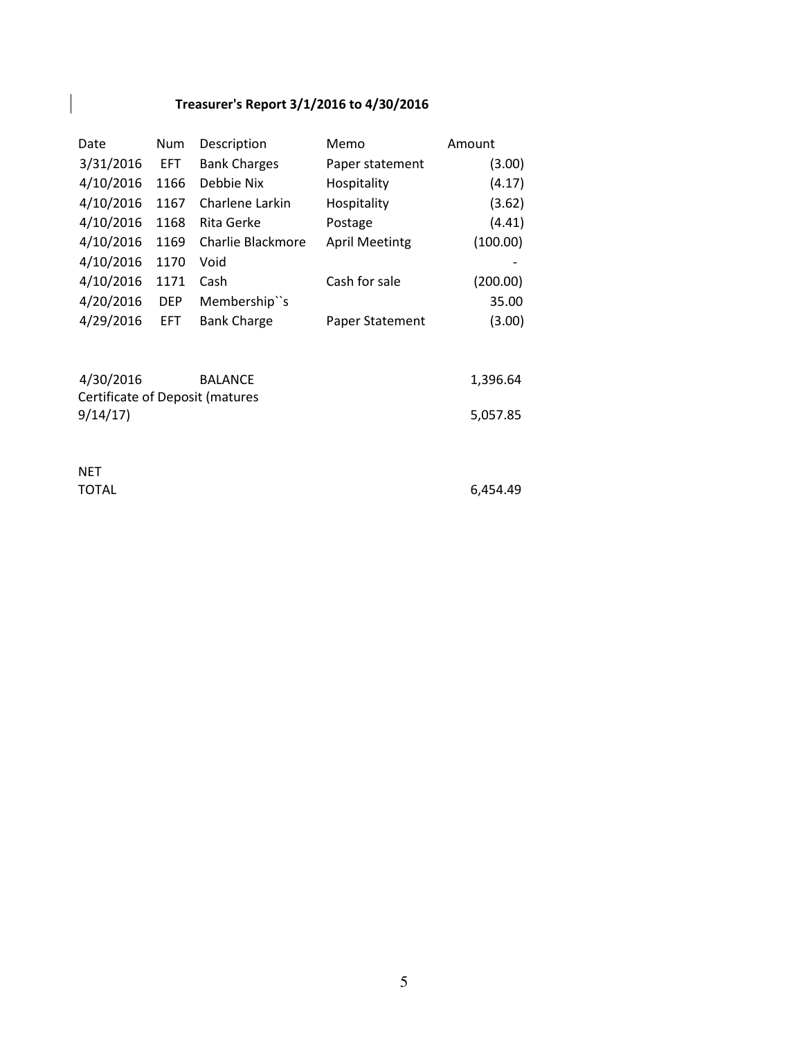## Treasurer's Report 3/1/2016 to 4/30/2016

| Date      | Num        | Description         | Memo                  | Amount   |
|-----------|------------|---------------------|-----------------------|----------|
| 3/31/2016 | EFT.       | <b>Bank Charges</b> | Paper statement       | (3.00)   |
| 4/10/2016 | 1166       | Debbie Nix          | Hospitality           | (4.17)   |
| 4/10/2016 | 1167       | Charlene Larkin     | Hospitality           | (3.62)   |
| 4/10/2016 | 1168       | Rita Gerke          | Postage               | (4.41)   |
| 4/10/2016 | 1169       | Charlie Blackmore   | <b>April Meetintg</b> | (100.00) |
| 4/10/2016 | 1170       | Void                |                       |          |
| 4/10/2016 | 1171       | Cash                | Cash for sale         | (200.00) |
| 4/20/2016 | <b>DEP</b> | Membership"s        |                       | 35.00    |
| 4/29/2016 | EFT.       | <b>Bank Charge</b>  | Paper Statement       | (3.00)   |

| 4/30/2016                       | <b>BALANCE</b> | 1,396.64 |
|---------------------------------|----------------|----------|
| Certificate of Deposit (matures |                |          |
| 9/14/17                         |                | 5,057.85 |

NET

 $\overline{\phantom{a}}$ 

TOTAL 6,454.49